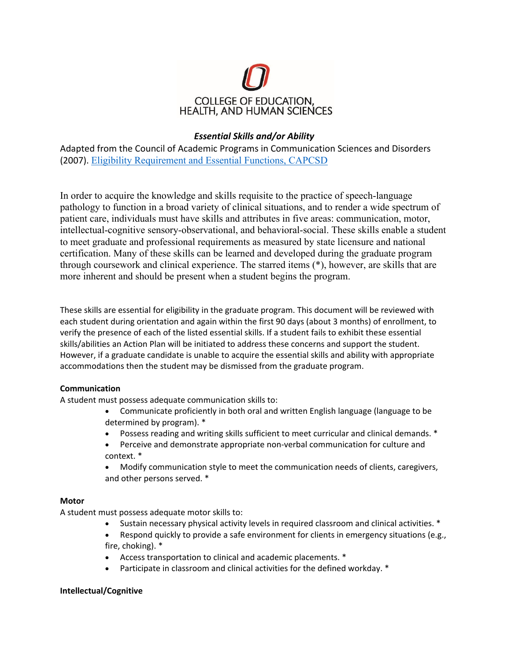

# *Essential Skills and/or Ability*

Adapted from the Council of Academic Programs in Communication Sciences and Disorders (2007). Eligibility Requirement and Essential Functions, CAPCSD

In order to acquire the knowledge and skills requisite to the practice of speech-language pathology to function in a broad variety of clinical situations, and to render a wide spectrum of patient care, individuals must have skills and attributes in five areas: communication, motor, intellectual-cognitive sensory-observational, and behavioral-social. These skills enable a student to meet graduate and professional requirements as measured by state licensure and national certification. Many of these skills can be learned and developed during the graduate program through coursework and clinical experience. The starred items (\*), however, are skills that are more inherent and should be present when a student begins the program.

These skills are essential for eligibility in the graduate program. This document will be reviewed with each student during orientation and again within the first 90 days (about 3 months) of enrollment, to verify the presence of each of the listed essential skills. If a student fails to exhibit these essential skills/abilities an Action Plan will be initiated to address these concerns and support the student. However, if a graduate candidate is unable to acquire the essential skills and ability with appropriate accommodations then the student may be dismissed from the graduate program.

## **Communication**

A student must possess adequate communication skills to:

- Communicate proficiently in both oral and written English language (language to be determined by program). \*
- Possess reading and writing skills sufficient to meet curricular and clinical demands. \*
- Perceive and demonstrate appropriate non-verbal communication for culture and context. \*
- Modify communication style to meet the communication needs of clients, caregivers, and other persons served. \*

#### **Motor**

A student must possess adequate motor skills to:

- Sustain necessary physical activity levels in required classroom and clinical activities.  $*$
- Respond quickly to provide a safe environment for clients in emergency situations (e.g., fire, choking). \*
- Access transportation to clinical and academic placements. \*
- Participate in classroom and clinical activities for the defined workday. \*

#### **Intellectual/Cognitive**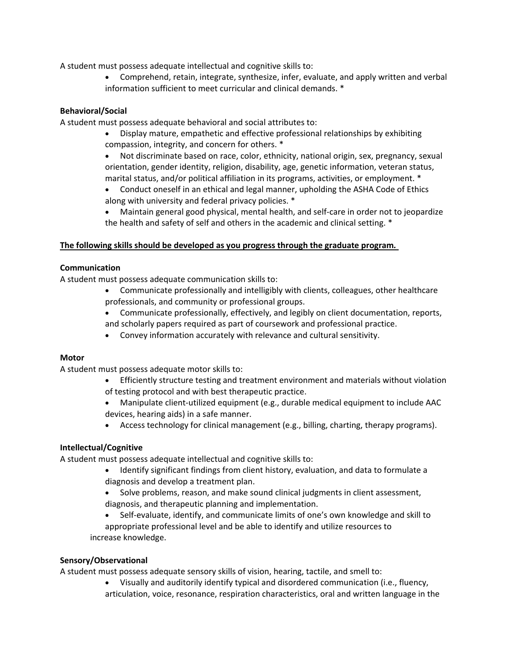A student must possess adequate intellectual and cognitive skills to:

 Comprehend, retain, integrate, synthesize, infer, evaluate, and apply written and verbal information sufficient to meet curricular and clinical demands. \*

# **Behavioral/Social**

A student must possess adequate behavioral and social attributes to:

- Display mature, empathetic and effective professional relationships by exhibiting compassion, integrity, and concern for others. \*
- Not discriminate based on race, color, ethnicity, national origin, sex, pregnancy, sexual orientation, gender identity, religion, disability, age, genetic information, veteran status, marital status, and/or political affiliation in its programs, activities, or employment. \*
- Conduct oneself in an ethical and legal manner, upholding the ASHA Code of Ethics along with university and federal privacy policies. \*
- Maintain general good physical, mental health, and self-care in order not to jeopardize the health and safety of self and others in the academic and clinical setting. \*

# **The following skills should be developed as you progress through the graduate program***.*

## **Communication**

A student must possess adequate communication skills to:

- Communicate professionally and intelligibly with clients, colleagues, other healthcare professionals, and community or professional groups.
- Communicate professionally, effectively, and legibly on client documentation, reports, and scholarly papers required as part of coursework and professional practice.
- Convey information accurately with relevance and cultural sensitivity.

## **Motor**

A student must possess adequate motor skills to:

- Efficiently structure testing and treatment environment and materials without violation of testing protocol and with best therapeutic practice.
- Manipulate client-utilized equipment (e.g., durable medical equipment to include AAC devices, hearing aids) in a safe manner.
- Access technology for clinical management (e.g., billing, charting, therapy programs).

# **Intellectual/Cognitive**

A student must possess adequate intellectual and cognitive skills to:

- Identify significant findings from client history, evaluation, and data to formulate a diagnosis and develop a treatment plan.
- Solve problems, reason, and make sound clinical judgments in client assessment, diagnosis, and therapeutic planning and implementation.
- Self‐evaluate, identify, and communicate limits of one's own knowledge and skill to appropriate professional level and be able to identify and utilize resources to increase knowledge.

# **Sensory/Observational**

A student must possess adequate sensory skills of vision, hearing, tactile, and smell to:

 Visually and auditorily identify typical and disordered communication (i.e., fluency, articulation, voice, resonance, respiration characteristics, oral and written language in the